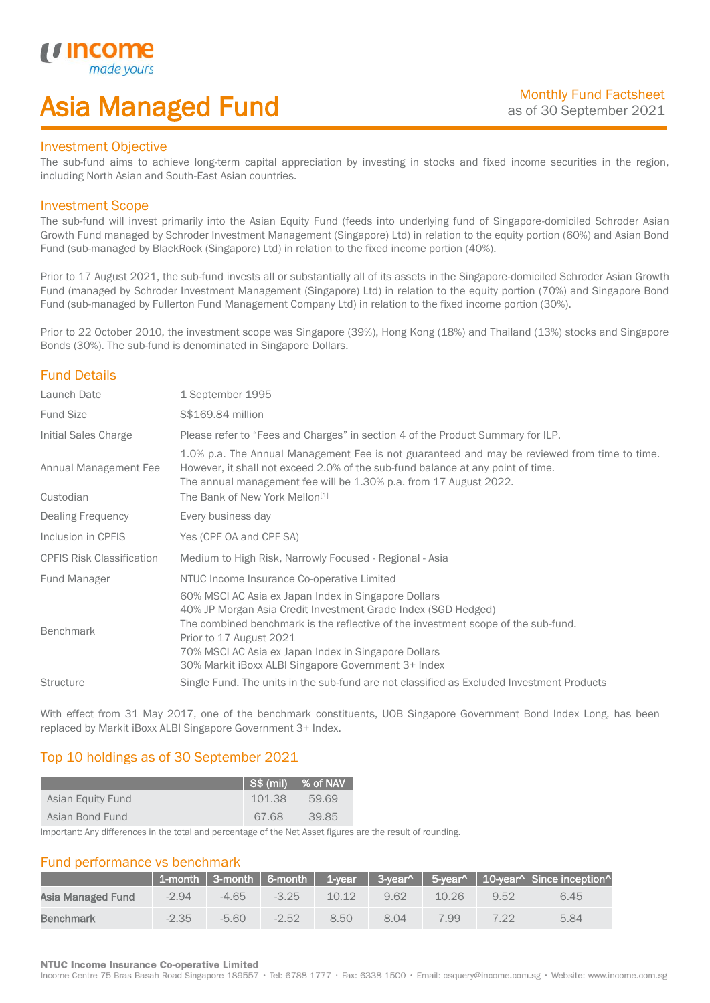## Asia Managed Fund

### Investment Objective

*i i* Incol

I

The sub-fund aims to achieve long-term capital appreciation by investing in stocks and fixed income securities in the region, including North Asian and South-East Asian countries.

### Investment Scope

The sub-fund will invest primarily into the Asian Equity Fund (feeds into underlying fund of Singapore-domiciled Schroder Asian Growth Fund managed by Schroder Investment Management (Singapore) Ltd) in relation to the equity portion (60%) and Asian Bond Fund (sub-managed by BlackRock (Singapore) Ltd) in relation to the fixed income portion (40%).

Prior to 17 August 2021, the sub-fund invests all or substantially all of its assets in the Singapore-domiciled Schroder Asian Growth Fund (managed by Schroder Investment Management (Singapore) Ltd) in relation to the equity portion (70%) and Singapore Bond Fund (sub-managed by Fullerton Fund Management Company Ltd) in relation to the fixed income portion (30%).

Prior to 22 October 2010, the investment scope was Singapore (39%), Hong Kong (18%) and Thailand (13%) stocks and Singapore Bonds (30%). The sub-fund is denominated in Singapore Dollars.

## Fund Details

| Launch Date                        | 1 September 1995                                                                                                                                                                                                                                                                                                                                     |
|------------------------------------|------------------------------------------------------------------------------------------------------------------------------------------------------------------------------------------------------------------------------------------------------------------------------------------------------------------------------------------------------|
| <b>Fund Size</b>                   | S\$169.84 million                                                                                                                                                                                                                                                                                                                                    |
| Initial Sales Charge               | Please refer to "Fees and Charges" in section 4 of the Product Summary for ILP.                                                                                                                                                                                                                                                                      |
| Annual Management Fee<br>Custodian | 1.0% p.a. The Annual Management Fee is not guaranteed and may be reviewed from time to time.<br>However, it shall not exceed 2.0% of the sub-fund balance at any point of time.<br>The annual management fee will be 1.30% p.a. from 17 August 2022.<br>The Bank of New York Mellon <sup>[1]</sup>                                                   |
| <b>Dealing Frequency</b>           | Every business day                                                                                                                                                                                                                                                                                                                                   |
| Inclusion in CPFIS                 | Yes (CPF OA and CPF SA)                                                                                                                                                                                                                                                                                                                              |
| <b>CPFIS Risk Classification</b>   | Medium to High Risk, Narrowly Focused - Regional - Asia                                                                                                                                                                                                                                                                                              |
| Fund Manager                       | NTUC Income Insurance Co-operative Limited                                                                                                                                                                                                                                                                                                           |
| <b>Benchmark</b>                   | 60% MSCI AC Asia ex Japan Index in Singapore Dollars<br>40% JP Morgan Asia Credit Investment Grade Index (SGD Hedged)<br>The combined benchmark is the reflective of the investment scope of the sub-fund.<br>Prior to 17 August 2021<br>70% MSCI AC Asia ex Japan Index in Singapore Dollars<br>30% Markit iBoxx ALBI Singapore Government 3+ Index |
| <b>Structure</b>                   | Single Fund. The units in the sub-fund are not classified as Excluded Investment Products                                                                                                                                                                                                                                                            |

With effect from 31 May 2017, one of the benchmark constituents, UOB Singapore Government Bond Index Long, has been replaced by Markit iBoxx ALBI Singapore Government 3+ Index.

## Top 10 holdings as of 30 September 2021

|                   |        | $\vert$ S\$ (mil) $\vert$ % of NAV |
|-------------------|--------|------------------------------------|
| Asian Equity Fund | 101.38 | 59.69                              |
| Asian Bond Fund   | 67.68  | 39.85                              |

Important: Any differences in the total and percentage of the Net Asset figures are the result of rounding.

## Fund performance vs benchmark

|                   |         |         |         |       |      |       |      | 1-month   3-month   6-month   1-year   3-year^   5-year^   10-year^   Since inception^ |
|-------------------|---------|---------|---------|-------|------|-------|------|----------------------------------------------------------------------------------------|
| Asia Managed Fund | $-2.94$ | $-4.65$ | $-3.25$ | 10.12 | 9.62 | 10.26 | 9.52 | 6.45                                                                                   |
| Benchmark         | $-2.35$ | $-5.60$ | $-2.52$ | 8.50  | 804  | 7.99  | 7 22 | 5.84                                                                                   |

#### **NTUC Income Insurance Co-operative Limited**

Income Centre 75 Bras Basah Road Singapore 189557 · Tel: 6788 1777 · Fax: 6338 1500 · Email: csquery@income.com.sg · Website: www.income.com.sg